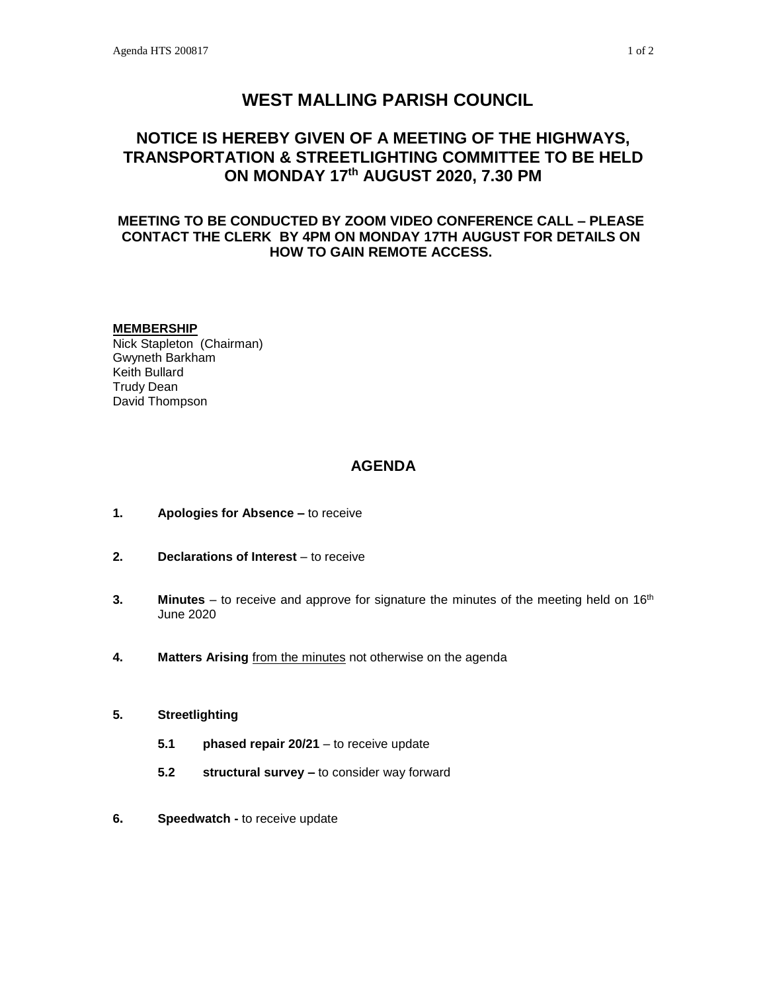# **WEST MALLING PARISH COUNCIL**

# **NOTICE IS HEREBY GIVEN OF A MEETING OF THE HIGHWAYS, TRANSPORTATION & STREETLIGHTING COMMITTEE TO BE HELD ON MONDAY 17th AUGUST 2020, 7.30 PM**

### **MEETING TO BE CONDUCTED BY ZOOM VIDEO CONFERENCE CALL – PLEASE CONTACT THE CLERK BY 4PM ON MONDAY 17TH AUGUST FOR DETAILS ON HOW TO GAIN REMOTE ACCESS.**

#### **MEMBERSHIP**

Nick Stapleton (Chairman) Gwyneth Barkham Keith Bullard Trudy Dean David Thompson

### **AGENDA**

- **1. Apologies for Absence –** to receive
- **2. Declarations of Interest** to receive
- **3. Minutes** to receive and approve for signature the minutes of the meeting held on 16<sup>th</sup> June 2020
- **4. Matters Arising** from the minutes not otherwise on the agenda

#### **5. Streetlighting**

- **5.1 phased repair 20/21** to receive update
- **5.2 structural survey –** to consider way forward
- **6. Speedwatch -** to receive update